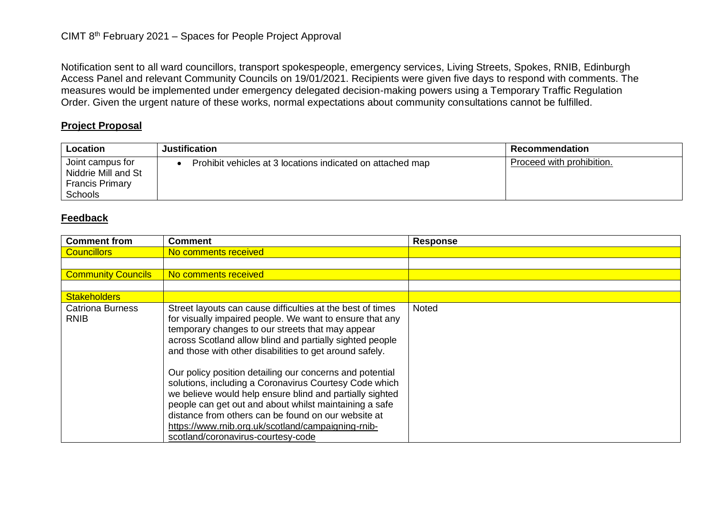Notification sent to all ward councillors, transport spokespeople, emergency services, Living Streets, Spokes, RNIB, Edinburgh Access Panel and relevant Community Councils on 19/01/2021. Recipients were given five days to respond with comments. The measures would be implemented under emergency delegated decision-making powers using a Temporary Traffic Regulation Order. Given the urgent nature of these works, normal expectations about community consultations cannot be fulfilled.

## **Project Proposal**

| Location                                                                            | <b>Justification</b>                                       | Recommendation            |
|-------------------------------------------------------------------------------------|------------------------------------------------------------|---------------------------|
| Joint campus for<br>Niddrie Mill and St<br><b>Francis Primary</b><br><b>Schools</b> | Prohibit vehicles at 3 locations indicated on attached map | Proceed with prohibition. |

## **Feedback**

| <b>Comment from</b>                    | <b>Comment</b>                                                                                                                                                                                                                                                                                                                                                | <b>Response</b> |
|----------------------------------------|---------------------------------------------------------------------------------------------------------------------------------------------------------------------------------------------------------------------------------------------------------------------------------------------------------------------------------------------------------------|-----------------|
| <b>Councillors</b>                     | No comments received                                                                                                                                                                                                                                                                                                                                          |                 |
|                                        |                                                                                                                                                                                                                                                                                                                                                               |                 |
| <b>Community Councils</b>              | No comments received                                                                                                                                                                                                                                                                                                                                          |                 |
|                                        |                                                                                                                                                                                                                                                                                                                                                               |                 |
| <b>Stakeholders</b>                    |                                                                                                                                                                                                                                                                                                                                                               |                 |
| <b>Catriona Burness</b><br><b>RNIB</b> | Street layouts can cause difficulties at the best of times<br>for visually impaired people. We want to ensure that any<br>temporary changes to our streets that may appear<br>across Scotland allow blind and partially sighted people<br>and those with other disabilities to get around safely.<br>Our policy position detailing our concerns and potential | <b>Noted</b>    |
|                                        | solutions, including a Coronavirus Courtesy Code which<br>we believe would help ensure blind and partially sighted<br>people can get out and about whilst maintaining a safe<br>distance from others can be found on our website at<br>https://www.mib.org.uk/scotland/campaigning-mib-<br>scotland/coronavirus-courtesy-code                                 |                 |